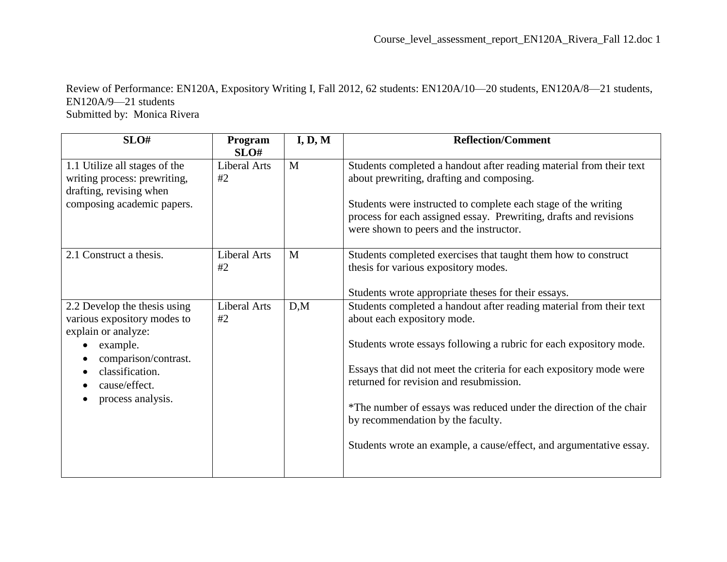Review of Performance: EN120A, Expository Writing I, Fall 2012, 62 students: EN120A/10—20 students, EN120A/8—21 students, EN120A/9—21 students Submitted by: Monica Rivera

| SLO#                                                                                                                                                                            | Program<br>SLO#           | I, D, M | <b>Reflection/Comment</b>                                                                                                                                                                                                                                                                                                                                                                                                                                                    |
|---------------------------------------------------------------------------------------------------------------------------------------------------------------------------------|---------------------------|---------|------------------------------------------------------------------------------------------------------------------------------------------------------------------------------------------------------------------------------------------------------------------------------------------------------------------------------------------------------------------------------------------------------------------------------------------------------------------------------|
| 1.1 Utilize all stages of the<br>writing process: prewriting,<br>drafting, revising when<br>composing academic papers.                                                          | Liberal Arts<br>#2        | M       | Students completed a handout after reading material from their text<br>about prewriting, drafting and composing.<br>Students were instructed to complete each stage of the writing<br>process for each assigned essay. Prewriting, drafts and revisions<br>were shown to peers and the instructor.                                                                                                                                                                           |
| 2.1 Construct a thesis.                                                                                                                                                         | <b>Liberal Arts</b><br>#2 | M       | Students completed exercises that taught them how to construct<br>thesis for various expository modes.<br>Students wrote appropriate theses for their essays.                                                                                                                                                                                                                                                                                                                |
| 2.2 Develop the thesis using<br>various expository modes to<br>explain or analyze:<br>example.<br>comparison/contrast.<br>classification.<br>cause/effect.<br>process analysis. | <b>Liberal Arts</b><br>#2 | D,M     | Students completed a handout after reading material from their text<br>about each expository mode.<br>Students wrote essays following a rubric for each expository mode.<br>Essays that did not meet the criteria for each expository mode were<br>returned for revision and resubmission.<br>*The number of essays was reduced under the direction of the chair<br>by recommendation by the faculty.<br>Students wrote an example, a cause/effect, and argumentative essay. |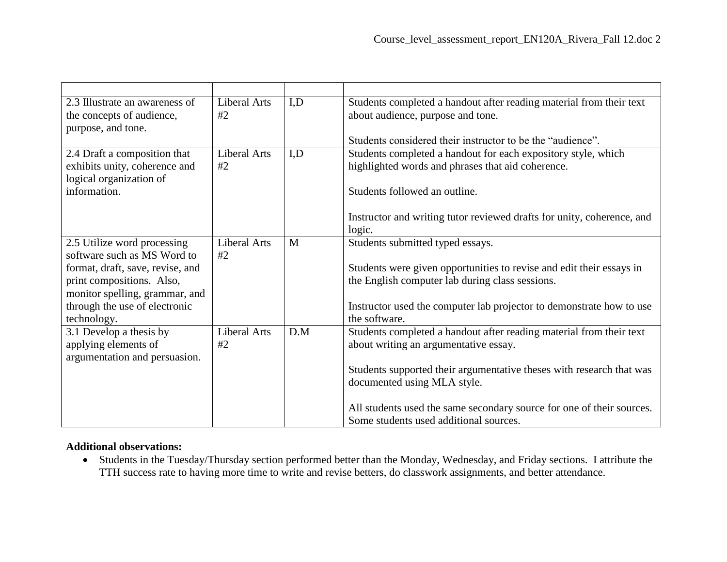| 2.3 Illustrate an awareness of   | Liberal Arts | I,D | Students completed a handout after reading material from their text    |
|----------------------------------|--------------|-----|------------------------------------------------------------------------|
| the concepts of audience,        | #2           |     | about audience, purpose and tone.                                      |
| purpose, and tone.               |              |     |                                                                        |
|                                  |              |     | Students considered their instructor to be the "audience".             |
| 2.4 Draft a composition that     | Liberal Arts | I,D | Students completed a handout for each expository style, which          |
| exhibits unity, coherence and    | #2           |     | highlighted words and phrases that aid coherence.                      |
| logical organization of          |              |     |                                                                        |
| information.                     |              |     | Students followed an outline.                                          |
|                                  |              |     |                                                                        |
|                                  |              |     | Instructor and writing tutor reviewed drafts for unity, coherence, and |
|                                  |              |     | logic.                                                                 |
| 2.5 Utilize word processing      | Liberal Arts | M   | Students submitted typed essays.                                       |
| software such as MS Word to      | #2           |     |                                                                        |
| format, draft, save, revise, and |              |     | Students were given opportunities to revise and edit their essays in   |
| print compositions. Also,        |              |     | the English computer lab during class sessions.                        |
| monitor spelling, grammar, and   |              |     |                                                                        |
| through the use of electronic    |              |     | Instructor used the computer lab projector to demonstrate how to use   |
| technology.                      |              |     | the software.                                                          |
| 3.1 Develop a thesis by          | Liberal Arts | D.M | Students completed a handout after reading material from their text    |
| applying elements of             | #2           |     | about writing an argumentative essay.                                  |
| argumentation and persuasion.    |              |     |                                                                        |
|                                  |              |     | Students supported their argumentative theses with research that was   |
|                                  |              |     | documented using MLA style.                                            |
|                                  |              |     |                                                                        |
|                                  |              |     | All students used the same secondary source for one of their sources.  |
|                                  |              |     | Some students used additional sources.                                 |

## **Additional observations:**

 Students in the Tuesday/Thursday section performed better than the Monday, Wednesday, and Friday sections. I attribute the TTH success rate to having more time to write and revise betters, do classwork assignments, and better attendance.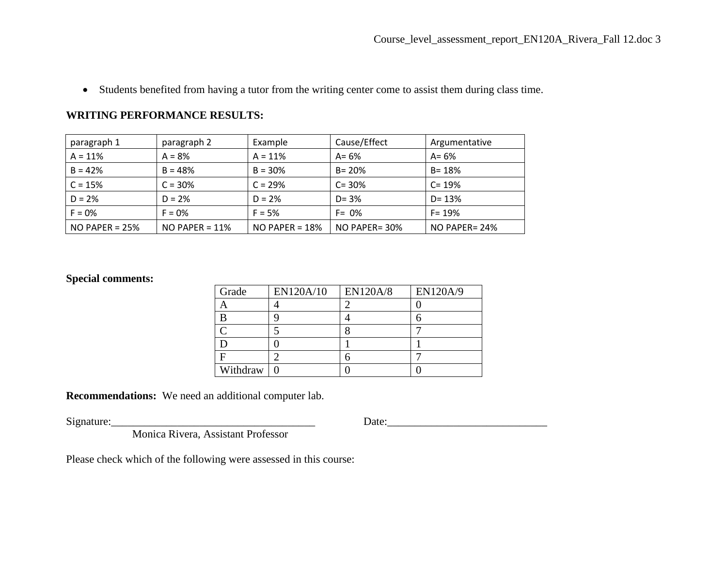Students benefited from having a tutor from the writing center come to assist them during class time.

## **WRITING PERFORMANCE RESULTS:**

| paragraph 1      | paragraph 2      | Example          | Cause/Effect  | Argumentative |
|------------------|------------------|------------------|---------------|---------------|
| $A = 11%$        | $A = 8%$         | $A = 11%$        | $A = 6\%$     | $A = 6%$      |
| $B = 42%$        | $B = 48%$        | $B = 30%$        | $B = 20%$     | $B = 18%$     |
| $C = 15%$        | $C = 30%$        | $C = 29%$        | $C = 30%$     | $C = 19%$     |
| $D = 2%$         | $D = 2%$         | $D = 2%$         | $D = 3%$      | $D = 13%$     |
| $F = 0%$         | $F = 0%$         | $F = 5%$         | $F = 0\%$     | $F = 19%$     |
| NO PAPER = $25%$ | $NO$ PAPER = 11% | NO PAPER = $18%$ | NO PAPER= 30% | NO PAPER= 24% |

## **Special comments:**

| Grade    | EN120A/10 | <b>EN120A/8</b> | <b>EN120A/9</b> |
|----------|-----------|-----------------|-----------------|
|          |           |                 |                 |
|          |           |                 |                 |
|          |           |                 |                 |
|          |           |                 |                 |
|          |           |                 |                 |
| Withdraw |           |                 |                 |

**Recommendations:** We need an additional computer lab.

 $Signature:$  Date:

Monica Rivera, Assistant Professor

Please check which of the following were assessed in this course: